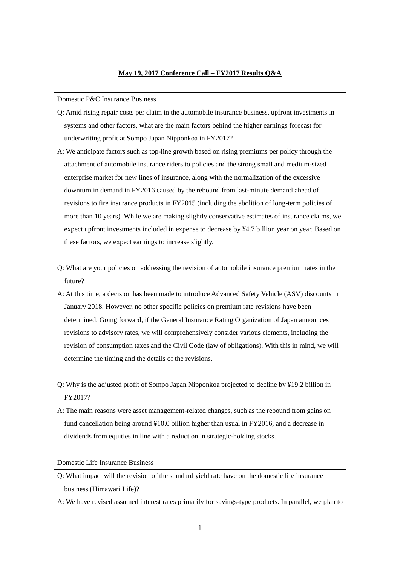# **May 19, 2017 Conference Call – FY2017 Results Q&A**

#### Domestic P&C Insurance Business

- Q: Amid rising repair costs per claim in the automobile insurance business, upfront investments in systems and other factors, what are the main factors behind the higher earnings forecast for underwriting profit at Sompo Japan Nipponkoa in FY2017?
- A: We anticipate factors such as top-line growth based on rising premiums per policy through the attachment of automobile insurance riders to policies and the strong small and medium-sized enterprise market for new lines of insurance, along with the normalization of the excessive downturn in demand in FY2016 caused by the rebound from last-minute demand ahead of revisions to fire insurance products in FY2015 (including the abolition of long-term policies of more than 10 years). While we are making slightly conservative estimates of insurance claims, we expect upfront investments included in expense to decrease by ¥4.7 billion year on year. Based on these factors, we expect earnings to increase slightly.
- Q: What are your policies on addressing the revision of automobile insurance premium rates in the future?
- A: At this time, a decision has been made to introduce Advanced Safety Vehicle (ASV) discounts in January 2018. However, no other specific policies on premium rate revisions have been determined. Going forward, if the General Insurance Rating Organization of Japan announces revisions to advisory rates, we will comprehensively consider various elements, including the revision of consumption taxes and the Civil Code (law of obligations). With this in mind, we will determine the timing and the details of the revisions.
- Q: Why is the adjusted profit of Sompo Japan Nipponkoa projected to decline by ¥19.2 billion in FY2017?
- A: The main reasons were asset management-related changes, such as the rebound from gains on fund cancellation being around ¥10.0 billion higher than usual in FY2016, and a decrease in dividends from equities in line with a reduction in strategic-holding stocks.

# Domestic Life Insurance Business

- Q: What impact will the revision of the standard yield rate have on the domestic life insurance business (Himawari Life)?
- A: We have revised assumed interest rates primarily for savings-type products. In parallel, we plan to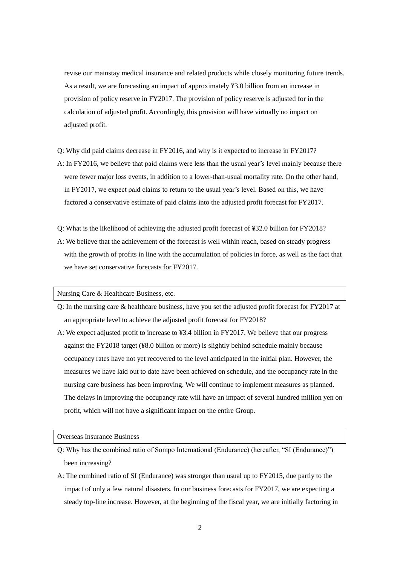revise our mainstay medical insurance and related products while closely monitoring future trends. As a result, we are forecasting an impact of approximately ¥3.0 billion from an increase in provision of policy reserve in FY2017. The provision of policy reserve is adjusted for in the calculation of adjusted profit. Accordingly, this provision will have virtually no impact on adjusted profit.

- Q: Why did paid claims decrease in FY2016, and why is it expected to increase in FY2017?
- A: In FY2016, we believe that paid claims were less than the usual year's level mainly because there were fewer major loss events, in addition to a lower-than-usual mortality rate. On the other hand, in FY2017, we expect paid claims to return to the usual year's level. Based on this, we have factored a conservative estimate of paid claims into the adjusted profit forecast for FY2017.
- Q: What is the likelihood of achieving the adjusted profit forecast of ¥32.0 billion for FY2018? A: We believe that the achievement of the forecast is well within reach, based on steady progress with the growth of profits in line with the accumulation of policies in force, as well as the fact that we have set conservative forecasts for FY2017.

Nursing Care & Healthcare Business, etc.

- Q: In the nursing care & healthcare business, have you set the adjusted profit forecast for FY2017 at an appropriate level to achieve the adjusted profit forecast for FY2018?
- A: We expect adjusted profit to increase to ¥3.4 billion in FY2017. We believe that our progress against the FY2018 target (¥8.0 billion or more) is slightly behind schedule mainly because occupancy rates have not yet recovered to the level anticipated in the initial plan. However, the measures we have laid out to date have been achieved on schedule, and the occupancy rate in the nursing care business has been improving. We will continue to implement measures as planned. The delays in improving the occupancy rate will have an impact of several hundred million yen on profit, which will not have a significant impact on the entire Group.

#### Overseas Insurance Business

- Q: Why has the combined ratio of Sompo International (Endurance) (hereafter, "SI (Endurance)") been increasing?
- A: The combined ratio of SI (Endurance) was stronger than usual up to FY2015, due partly to the impact of only a few natural disasters. In our business forecasts for FY2017, we are expecting a steady top-line increase. However, at the beginning of the fiscal year, we are initially factoring in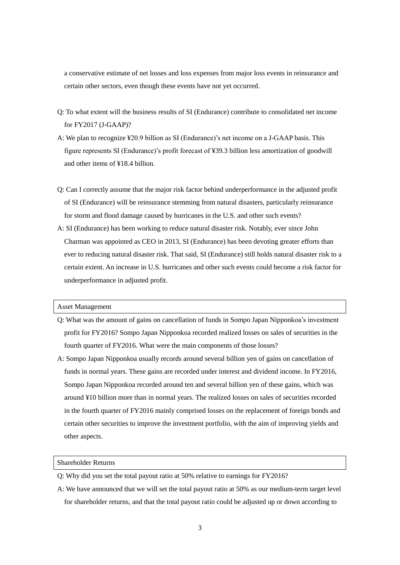a conservative estimate of net losses and loss expenses from major loss events in reinsurance and certain other sectors, even though these events have not yet occurred.

- Q: To what extent will the business results of SI (Endurance) contribute to consolidated net income for FY2017 (J-GAAP)?
- A: We plan to recognize ¥20.9 billion as SI (Endurance)'s net income on a J-GAAP basis. This figure represents SI (Endurance)'s profit forecast of ¥39.3 billion less amortization of goodwill and other items of ¥18.4 billion.
- Q: Can I correctly assume that the major risk factor behind underperformance in the adjusted profit of SI (Endurance) will be reinsurance stemming from natural disasters, particularly reinsurance for storm and flood damage caused by hurricanes in the U.S. and other such events?
- A: SI (Endurance) has been working to reduce natural disaster risk. Notably, ever since John Charman was appointed as CEO in 2013, SI (Endurance) has been devoting greater efforts than ever to reducing natural disaster risk. That said, SI (Endurance) still holds natural disaster risk to a certain extent. An increase in U.S. hurricanes and other such events could become a risk factor for underperformance in adjusted profit.

### Asset Management

- Q: What was the amount of gains on cancellation of funds in Sompo Japan Nipponkoa's investment profit for FY2016? Sompo Japan Nipponkoa recorded realized losses on sales of securities in the fourth quarter of FY2016. What were the main components of those losses?
- A: Sompo Japan Nipponkoa usually records around several billion yen of gains on cancellation of funds in normal years. These gains are recorded under interest and dividend income. In FY2016, Sompo Japan Nipponkoa recorded around ten and several billion yen of these gains, which was around ¥10 billion more than in normal years. The realized losses on sales of securities recorded in the fourth quarter of FY2016 mainly comprised losses on the replacement of foreign bonds and certain other securities to improve the investment portfolio, with the aim of improving yields and other aspects.

# Shareholder Returns

- Q: Why did you set the total payout ratio at 50% relative to earnings for FY2016?
- A: We have announced that we will set the total payout ratio at 50% as our medium-term target level for shareholder returns, and that the total payout ratio could be adjusted up or down according to